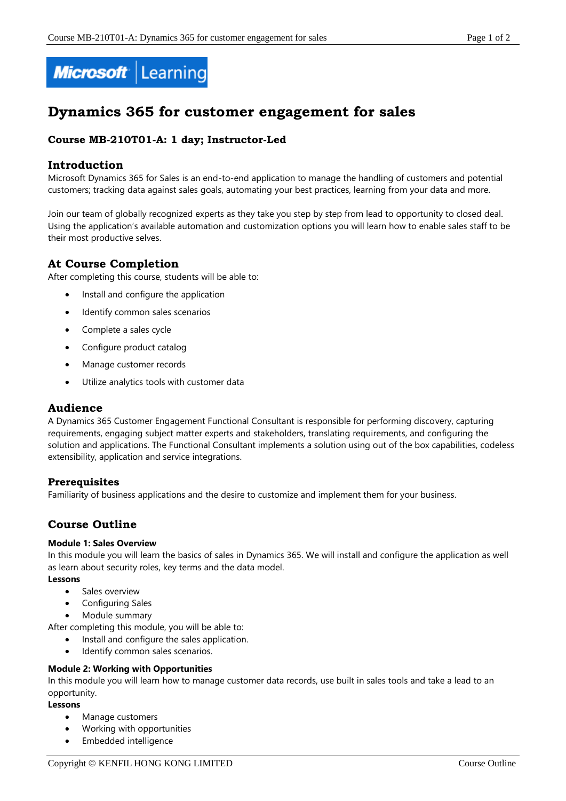

# **Dynamics 365 for customer engagement for sales**

## **Course MB-210T01-A: 1 day; Instructor-Led**

## **Introduction**

Microsoft Dynamics 365 for Sales is an end-to-end application to manage the handling of customers and potential customers; tracking data against sales goals, automating your best practices, learning from your data and more.

Join our team of globally recognized experts as they take you step by step from lead to opportunity to closed deal. Using the application's available automation and customization options you will learn how to enable sales staff to be their most productive selves.

## **At Course Completion**

After completing this course, students will be able to:

- Install and configure the application
- Identify common sales scenarios
- Complete a sales cycle
- Configure product catalog
- Manage customer records
- Utilize analytics tools with customer data

## **Audience**

A Dynamics 365 Customer Engagement Functional Consultant is responsible for performing discovery, capturing requirements, engaging subject matter experts and stakeholders, translating requirements, and configuring the solution and applications. The Functional Consultant implements a solution using out of the box capabilities, codeless extensibility, application and service integrations.

## **Prerequisites**

Familiarity of business applications and the desire to customize and implement them for your business.

## **Course Outline**

#### **Module 1: Sales Overview**

In this module you will learn the basics of sales in Dynamics 365. We will install and configure the application as well as learn about security roles, key terms and the data model.

#### **Lessons**

- Sales overview
- Configuring Sales
- Module summary

After completing this module, you will be able to:

- Install and configure the sales application.
- Identify common sales scenarios.

#### **Module 2: Working with Opportunities**

In this module you will learn how to manage customer data records, use built in sales tools and take a lead to an opportunity.

#### **Lessons**

- Manage customers
- Working with opportunities
- Embedded intelligence